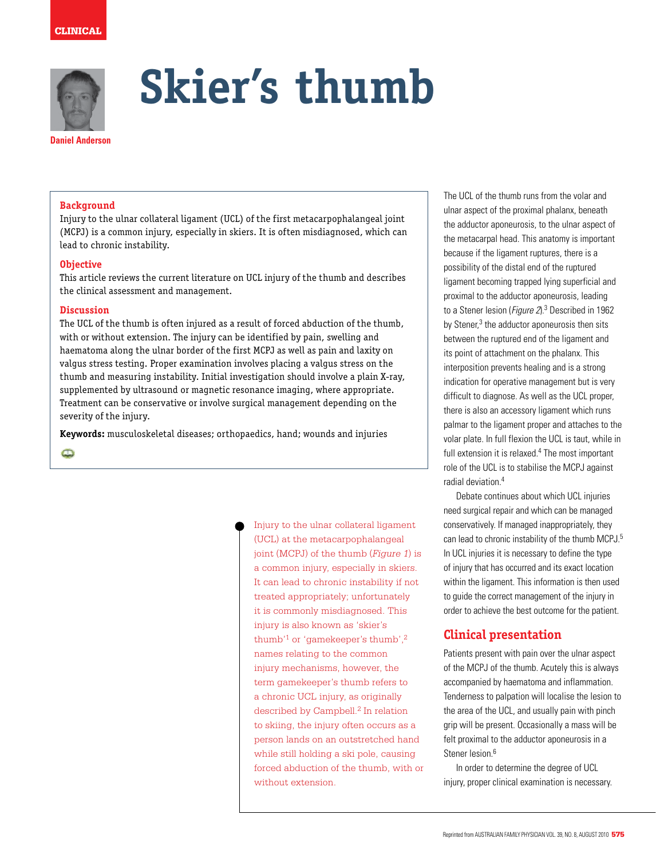



# **Skier's thumb**

#### **Background**

Injury to the ulnar collateral ligament (UCL) of the first metacarpophalangeal joint (MCPJ) is a common injury, especially in skiers. It is often misdiagnosed, which can lead to chronic instability.

#### **Objective**

This article reviews the current literature on UCL injury of the thumb and describes the clinical assessment and management.

### **Discussion**

The UCL of the thumb is often injured as a result of forced abduction of the thumb, with or without extension. The injury can be identified by pain, swelling and haematoma along the ulnar border of the first MCPJ as well as pain and laxity on valgus stress testing. Proper examination involves placing a valgus stress on the thumb and measuring instability. Initial investigation should involve a plain X-ray, supplemented by ultrasound or magnetic resonance imaging, where appropriate. Treatment can be conservative or involve surgical management depending on the severity of the injury.

**Keywords:** musculoskeletal diseases; orthopaedics, hand; wounds and injuries

 $\bullet$ 

Injury to the ulnar collateral ligament (UCL) at the metacarpophalangeal joint (MCPJ) of the thumb (*Figure 1*) is a common injury, especially in skiers. It can lead to chronic instability if not treated appropriately; unfortunately it is commonly misdiagnosed. This injury is also known as 'skier's thumb'1 or 'gamekeeper's thumb',2 names relating to the common injury mechanisms, however, the term gamekeeper's thumb refers to a chronic UCL injury, as originally described by Campbell.<sup>2</sup> In relation to skiing, the injury often occurs as a person lands on an outstretched hand while still holding a ski pole, causing forced abduction of the thumb, with or without extension.

The UCL of the thumb runs from the volar and ulnar aspect of the proximal phalanx, beneath the adductor aponeurosis, to the ulnar aspect of the metacarpal head. This anatomy is important because if the ligament ruptures, there is a possibility of the distal end of the ruptured ligament becoming trapped lying superficial and proximal to the adductor aponeurosis, leading to a Stener lesion (Figure 2).<sup>3</sup> Described in 1962 by Stener,<sup>3</sup> the adductor aponeurosis then sits between the ruptured end of the ligament and its point of attachment on the phalanx. This interposition prevents healing and is a strong indication for operative management but is very difficult to diagnose. As well as the UCL proper, there is also an accessory ligament which runs palmar to the ligament proper and attaches to the volar plate. In full flexion the UCL is taut, while in full extension it is relaxed.<sup>4</sup> The most important role of the UCL is to stabilise the MCPJ against radial deviation.4

Debate continues about which UCL injuries need surgical repair and which can be managed conservatively. If managed inappropriately, they can lead to chronic instability of the thumb MCPJ.<sup>5</sup> In UCL injuries it is necessary to define the type of injury that has occurred and its exact location within the ligament. This information is then used to guide the correct management of the injury in order to achieve the best outcome for the patient.

# **Clinical presentation**

Patients present with pain over the ulnar aspect of the MCPJ of the thumb. Acutely this is always accompanied by haematoma and inflammation. Tenderness to palpation will localise the lesion to the area of the UCL, and usually pain with pinch grip will be present. Occasionally a mass will be felt proximal to the adductor aponeurosis in a Stener lesion<sup>6</sup>

In order to determine the degree of UCL injury, proper clinical examination is necessary.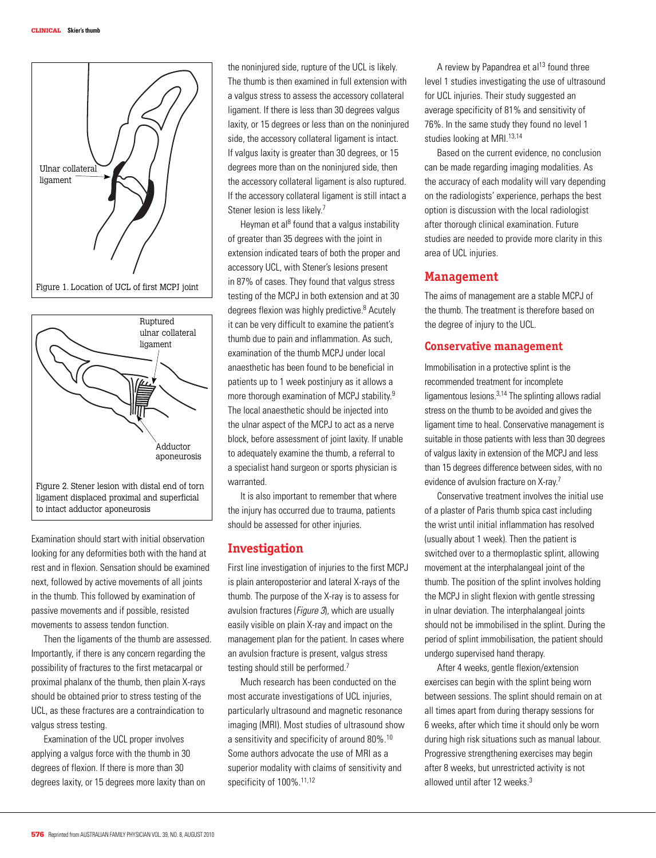



Examination should start with initial observation looking for any deformities both with the hand at rest and in flexion. Sensation should be examined next, followed by active movements of all joints in the thumb. This followed by examination of passive movements and if possible, resisted movements to assess tendon function.

Then the ligaments of the thumb are assessed. Importantly, if there is any concern regarding the possibility of fractures to the first metacarpal or proximal phalanx of the thumb, then plain X-rays should be obtained prior to stress testing of the UCL, as these fractures are a contraindication to valgus stress testing.

Examination of the UCL proper involves applying a valgus force with the thumb in 30 degrees of flexion. If there is more than 30 degrees laxity, or 15 degrees more laxity than on the noninjured side, rupture of the UCL is likely. The thumb is then examined in full extension with a valgus stress to assess the accessory collateral ligament. If there is less than 30 degrees valgus laxity, or 15 degrees or less than on the noninjured side, the accessory collateral ligament is intact. If valgus laxity is greater than 30 degrees, or 15 degrees more than on the noninjured side, then the accessory collateral ligament is also ruptured. If the accessory collateral ligament is still intact a Stener lesion is less likely.<sup>7</sup>

Heyman et al<sup>8</sup> found that a valgus instability of greater than 35 degrees with the joint in extension indicated tears of both the proper and accessory UCL, with Stener's lesions present in 87% of cases. They found that valgus stress testing of the MCPJ in both extension and at 30 degrees flexion was highly predictive.<sup>8</sup> Acutely it can be very difficult to examine the patient's thumb due to pain and inflammation. As such, examination of the thumb MCPJ under local anaesthetic has been found to be beneficial in patients up to 1 week postinjury as it allows a more thorough examination of MCPJ stability.<sup>9</sup> The local anaesthetic should be injected into the ulnar aspect of the MCPJ to act as a nerve block, before assessment of joint laxity. If unable to adequately examine the thumb, a referral to a specialist hand surgeon or sports physician is warranted.

It is also important to remember that where the injury has occurred due to trauma, patients should be assessed for other injuries.

## **Investigation**

First line investigation of injuries to the first MCPJ is plain anteroposterior and lateral X-rays of the thumb. The purpose of the X-ray is to assess for avulsion fractures (Figure 3), which are usually easily visible on plain X-ray and impact on the management plan for the patient. In cases where an avulsion fracture is present, valgus stress testing should still be performed.7

Much research has been conducted on the most accurate investigations of UCL injuries, particularly ultrasound and magnetic resonance imaging (MRI). Most studies of ultrasound show a sensitivity and specificity of around 80%.10 Some authors advocate the use of MRI as a superior modality with claims of sensitivity and specificity of 100%.<sup>11,12</sup>

A review by Papandrea et al<sup>13</sup> found three level 1 studies investigating the use of ultrasound for UCL injuries. Their study suggested an average specificity of 81% and sensitivity of 76%. In the same study they found no level 1 studies looking at MRI.<sup>13,14</sup>

Based on the current evidence, no conclusion can be made regarding imaging modalities. As the accuracy of each modality will vary depending on the radiologists' experience, perhaps the best option is discussion with the local radiologist after thorough clinical examination. Future studies are needed to provide more clarity in this area of UCL injuries.

## **Management**

The aims of management are a stable MCPJ of the thumb. The treatment is therefore based on the degree of injury to the UCL.

## **Conservative management**

Immobilisation in a protective splint is the recommended treatment for incomplete ligamentous lesions.3,14 The splinting allows radial stress on the thumb to be avoided and gives the ligament time to heal. Conservative management is suitable in those patients with less than 30 degrees of valgus laxity in extension of the MCPJ and less than 15 degrees difference between sides, with no evidence of avulsion fracture on X-ray.<sup>7</sup>

Conservative treatment involves the initial use of a plaster of Paris thumb spica cast including the wrist until initial inflammation has resolved (usually about 1 week). Then the patient is switched over to a thermoplastic splint, allowing movement at the interphalangeal joint of the thumb. The position of the splint involves holding the MCPJ in slight flexion with gentle stressing in ulnar deviation. The interphalangeal joints should not be immobilised in the splint. During the period of splint immobilisation, the patient should undergo supervised hand therapy.

After 4 weeks, gentle flexion/extension exercises can begin with the splint being worn between sessions. The splint should remain on at all times apart from during therapy sessions for 6 weeks, after which time it should only be worn during high risk situations such as manual labour. Progressive strengthening exercises may begin after 8 weeks, but unrestricted activity is not allowed until after 12 weeks.3